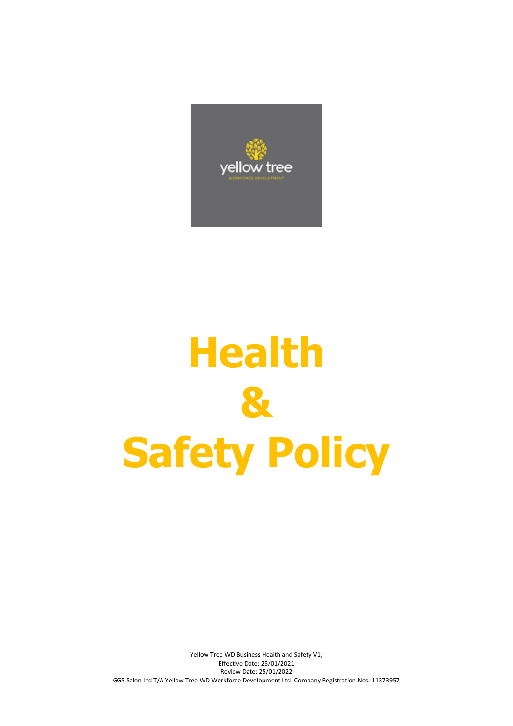

# **Health & Safety Policy**

Yellow Tree WD Business Health and Safety V1; Effective Date: 25/01/2021 Review Date: 25/01/2022 GGS Salon Ltd T/A Yellow Tree WD Workforce Development Ltd. Company Registration Nos: 11373957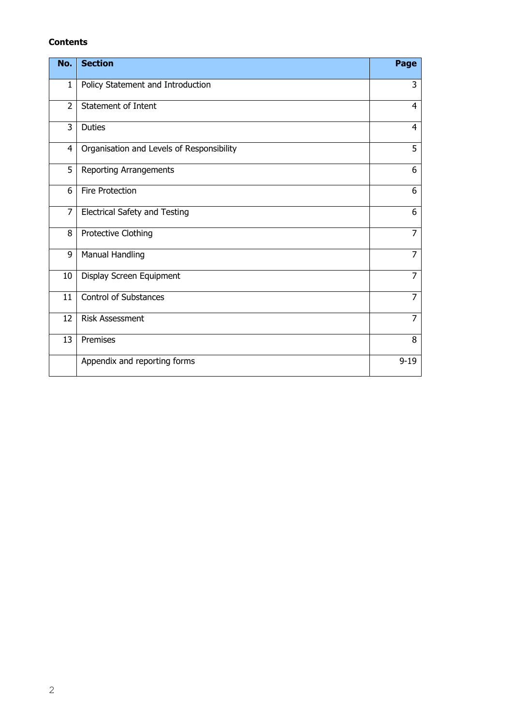#### **Contents**

| No.            | <b>Section</b>                            | Page           |
|----------------|-------------------------------------------|----------------|
| $\mathbf{1}$   | Policy Statement and Introduction         | 3              |
| $\overline{2}$ | <b>Statement of Intent</b>                | $\overline{4}$ |
| 3              | <b>Duties</b>                             | $\overline{4}$ |
| 4              | Organisation and Levels of Responsibility | 5              |
| 5              | <b>Reporting Arrangements</b>             | 6              |
| 6              | Fire Protection                           | 6              |
| $\overline{7}$ | Electrical Safety and Testing             | 6              |
| 8              | Protective Clothing                       | $\overline{7}$ |
| 9              | <b>Manual Handling</b>                    | $\overline{7}$ |
| 10             | Display Screen Equipment                  | $\overline{7}$ |
| 11             | <b>Control of Substances</b>              | $\overline{7}$ |
| 12             | <b>Risk Assessment</b>                    | $\overline{7}$ |
| 13             | Premises                                  | 8              |
|                | Appendix and reporting forms              | $9 - 19$       |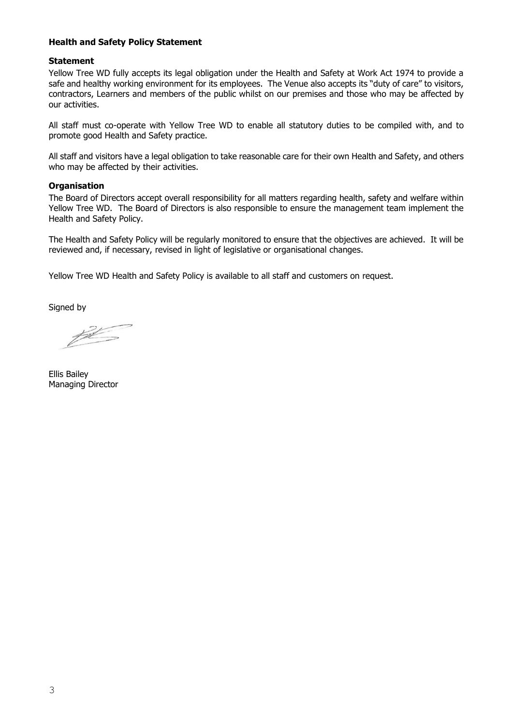#### **Health and Safety Policy Statement**

#### **Statement**

Yellow Tree WD fully accepts its legal obligation under the Health and Safety at Work Act 1974 to provide a safe and healthy working environment for its employees. The Venue also accepts its "duty of care" to visitors, contractors, Learners and members of the public whilst on our premises and those who may be affected by our activities.

All staff must co-operate with Yellow Tree WD to enable all statutory duties to be compiled with, and to promote good Health and Safety practice.

All staff and visitors have a legal obligation to take reasonable care for their own Health and Safety, and others who may be affected by their activities.

#### **Organisation**

The Board of Directors accept overall responsibility for all matters regarding health, safety and welfare within Yellow Tree WD. The Board of Directors is also responsible to ensure the management team implement the Health and Safety Policy.

The Health and Safety Policy will be regularly monitored to ensure that the objectives are achieved. It will be reviewed and, if necessary, revised in light of legislative or organisational changes.

Yellow Tree WD Health and Safety Policy is available to all staff and customers on request.

Signed by

 $\cancel{p}$ 

Ellis Bailey Managing Director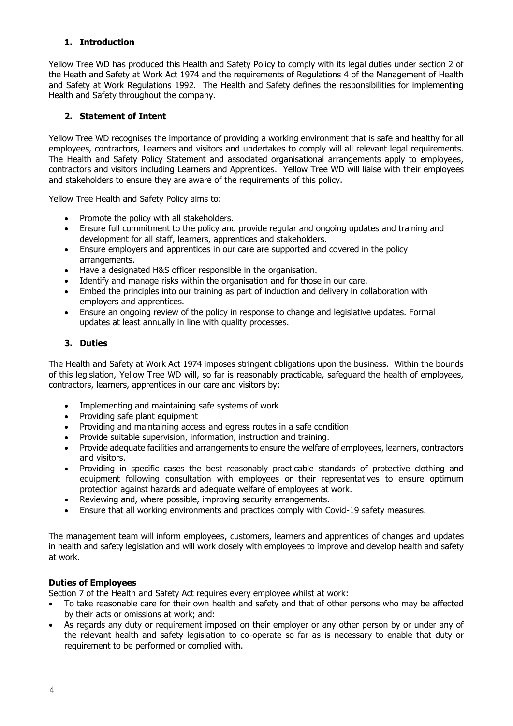## **1. Introduction**

Yellow Tree WD has produced this Health and Safety Policy to comply with its legal duties under section 2 of the Heath and Safety at Work Act 1974 and the requirements of Regulations 4 of the Management of Health and Safety at Work Regulations 1992. The Health and Safety defines the responsibilities for implementing Health and Safety throughout the company.

## **2. Statement of Intent**

Yellow Tree WD recognises the importance of providing a working environment that is safe and healthy for all employees, contractors, Learners and visitors and undertakes to comply will all relevant legal requirements. The Health and Safety Policy Statement and associated organisational arrangements apply to employees, contractors and visitors including Learners and Apprentices. Yellow Tree WD will liaise with their employees and stakeholders to ensure they are aware of the requirements of this policy.

Yellow Tree Health and Safety Policy aims to:

- Promote the policy with all stakeholders.
- Ensure full commitment to the policy and provide regular and ongoing updates and training and development for all staff, learners, apprentices and stakeholders.
- Ensure employers and apprentices in our care are supported and covered in the policy arrangements.
- Have a designated H&S officer responsible in the organisation.
- Identify and manage risks within the organisation and for those in our care.
- Embed the principles into our training as part of induction and delivery in collaboration with employers and apprentices.
- Ensure an ongoing review of the policy in response to change and legislative updates. Formal updates at least annually in line with quality processes.

#### **3. Duties**

The Health and Safety at Work Act 1974 imposes stringent obligations upon the business. Within the bounds of this legislation, Yellow Tree WD will, so far is reasonably practicable, safeguard the health of employees, contractors, learners, apprentices in our care and visitors by:

- Implementing and maintaining safe systems of work
- Providing safe plant equipment
- Providing and maintaining access and egress routes in a safe condition
- Provide suitable supervision, information, instruction and training.
- Provide adequate facilities and arrangements to ensure the welfare of employees, learners, contractors and visitors.
- Providing in specific cases the best reasonably practicable standards of protective clothing and equipment following consultation with employees or their representatives to ensure optimum protection against hazards and adequate welfare of employees at work.
- Reviewing and, where possible, improving security arrangements.
- Ensure that all working environments and practices comply with Covid-19 safety measures.

The management team will inform employees, customers, learners and apprentices of changes and updates in health and safety legislation and will work closely with employees to improve and develop health and safety at work.

#### **Duties of Employees**

Section 7 of the Health and Safety Act requires every employee whilst at work:

- To take reasonable care for their own health and safety and that of other persons who may be affected by their acts or omissions at work; and:
- As regards any duty or requirement imposed on their employer or any other person by or under any of the relevant health and safety legislation to co-operate so far as is necessary to enable that duty or requirement to be performed or complied with.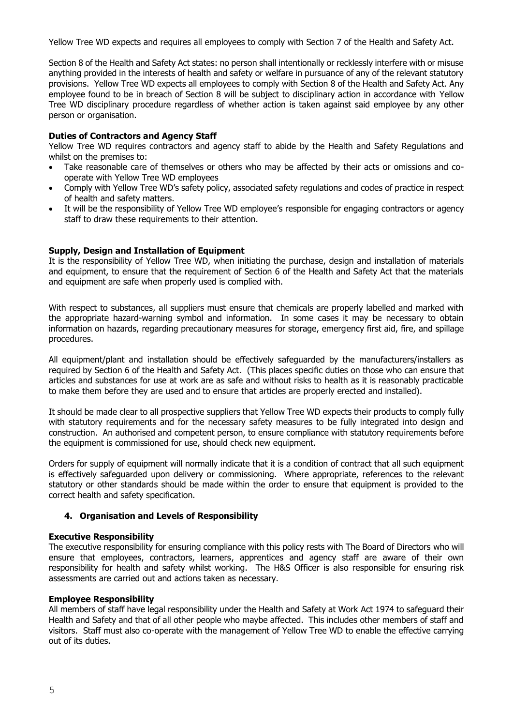Yellow Tree WD expects and requires all employees to comply with Section 7 of the Health and Safety Act.

Section 8 of the Health and Safety Act states: no person shall intentionally or recklessly interfere with or misuse anything provided in the interests of health and safety or welfare in pursuance of any of the relevant statutory provisions. Yellow Tree WD expects all employees to comply with Section 8 of the Health and Safety Act. Any employee found to be in breach of Section 8 will be subject to disciplinary action in accordance with Yellow Tree WD disciplinary procedure regardless of whether action is taken against said employee by any other person or organisation.

#### **Duties of Contractors and Agency Staff**

Yellow Tree WD requires contractors and agency staff to abide by the Health and Safety Regulations and whilst on the premises to:

- Take reasonable care of themselves or others who may be affected by their acts or omissions and cooperate with Yellow Tree WD employees
- Comply with Yellow Tree WD's safety policy, associated safety regulations and codes of practice in respect of health and safety matters.
- It will be the responsibility of Yellow Tree WD employee's responsible for engaging contractors or agency staff to draw these requirements to their attention.

#### **Supply, Design and Installation of Equipment**

It is the responsibility of Yellow Tree WD, when initiating the purchase, design and installation of materials and equipment, to ensure that the requirement of Section 6 of the Health and Safety Act that the materials and equipment are safe when properly used is complied with.

With respect to substances, all suppliers must ensure that chemicals are properly labelled and marked with the appropriate hazard-warning symbol and information. In some cases it may be necessary to obtain information on hazards, regarding precautionary measures for storage, emergency first aid, fire, and spillage procedures.

All equipment/plant and installation should be effectively safeguarded by the manufacturers/installers as required by Section 6 of the Health and Safety Act. (This places specific duties on those who can ensure that articles and substances for use at work are as safe and without risks to health as it is reasonably practicable to make them before they are used and to ensure that articles are properly erected and installed).

It should be made clear to all prospective suppliers that Yellow Tree WD expects their products to comply fully with statutory requirements and for the necessary safety measures to be fully integrated into design and construction. An authorised and competent person, to ensure compliance with statutory requirements before the equipment is commissioned for use, should check new equipment.

Orders for supply of equipment will normally indicate that it is a condition of contract that all such equipment is effectively safeguarded upon delivery or commissioning. Where appropriate, references to the relevant statutory or other standards should be made within the order to ensure that equipment is provided to the correct health and safety specification.

#### **4. Organisation and Levels of Responsibility**

#### **Executive Responsibility**

The executive responsibility for ensuring compliance with this policy rests with The Board of Directors who will ensure that employees, contractors, learners, apprentices and agency staff are aware of their own responsibility for health and safety whilst working. The H&S Officer is also responsible for ensuring risk assessments are carried out and actions taken as necessary.

#### **Employee Responsibility**

All members of staff have legal responsibility under the Health and Safety at Work Act 1974 to safeguard their Health and Safety and that of all other people who maybe affected. This includes other members of staff and visitors. Staff must also co-operate with the management of Yellow Tree WD to enable the effective carrying out of its duties.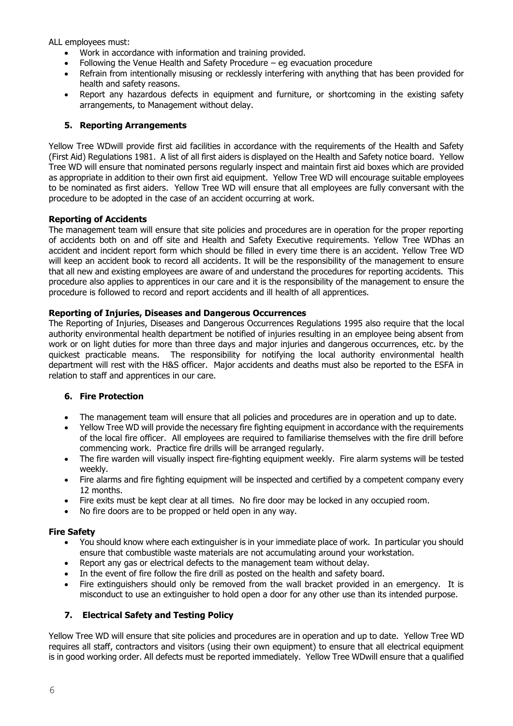ALL employees must:

- Work in accordance with information and training provided.
- Following the Venue Health and Safety Procedure eg evacuation procedure
- Refrain from intentionally misusing or recklessly interfering with anything that has been provided for health and safety reasons.
- Report any hazardous defects in equipment and furniture, or shortcoming in the existing safety arrangements, to Management without delay.

#### **5. Reporting Arrangements**

Yellow Tree WDwill provide first aid facilities in accordance with the requirements of the Health and Safety (First Aid) Regulations 1981. A list of all first aiders is displayed on the Health and Safety notice board. Yellow Tree WD will ensure that nominated persons regularly inspect and maintain first aid boxes which are provided as appropriate in addition to their own first aid equipment. Yellow Tree WD will encourage suitable employees to be nominated as first aiders. Yellow Tree WD will ensure that all employees are fully conversant with the procedure to be adopted in the case of an accident occurring at work.

#### **Reporting of Accidents**

The management team will ensure that site policies and procedures are in operation for the proper reporting of accidents both on and off site and Health and Safety Executive requirements. Yellow Tree WDhas an accident and incident report form which should be filled in every time there is an accident. Yellow Tree WD will keep an accident book to record all accidents. It will be the responsibility of the management to ensure that all new and existing employees are aware of and understand the procedures for reporting accidents. This procedure also applies to apprentices in our care and it is the responsibility of the management to ensure the procedure is followed to record and report accidents and ill health of all apprentices.

#### **Reporting of Injuries, Diseases and Dangerous Occurrences**

The Reporting of Injuries, Diseases and Dangerous Occurrences Regulations 1995 also require that the local authority environmental health department be notified of injuries resulting in an employee being absent from work or on light duties for more than three days and major injuries and dangerous occurrences, etc. by the quickest practicable means. The responsibility for notifying the local authority environmental health department will rest with the H&S officer. Major accidents and deaths must also be reported to the ESFA in relation to staff and apprentices in our care.

#### **6. Fire Protection**

- The management team will ensure that all policies and procedures are in operation and up to date.
- Yellow Tree WD will provide the necessary fire fighting equipment in accordance with the requirements of the local fire officer. All employees are required to familiarise themselves with the fire drill before commencing work. Practice fire drills will be arranged regularly.
- The fire warden will visually inspect fire-fighting equipment weekly. Fire alarm systems will be tested weekly.
- Fire alarms and fire fighting equipment will be inspected and certified by a competent company every 12 months.
- Fire exits must be kept clear at all times. No fire door may be locked in any occupied room.
- No fire doors are to be propped or held open in any way.

#### **Fire Safety**

- You should know where each extinguisher is in your immediate place of work. In particular you should ensure that combustible waste materials are not accumulating around your workstation.
- Report any gas or electrical defects to the management team without delay.
- In the event of fire follow the fire drill as posted on the health and safety board.
- Fire extinguishers should only be removed from the wall bracket provided in an emergency. It is misconduct to use an extinguisher to hold open a door for any other use than its intended purpose.

## **7. Electrical Safety and Testing Policy**

Yellow Tree WD will ensure that site policies and procedures are in operation and up to date. Yellow Tree WD requires all staff, contractors and visitors (using their own equipment) to ensure that all electrical equipment is in good working order. All defects must be reported immediately. Yellow Tree WDwill ensure that a qualified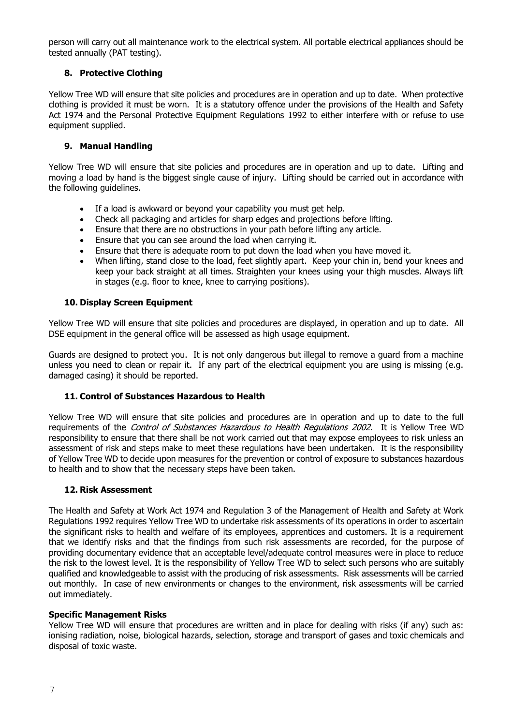person will carry out all maintenance work to the electrical system. All portable electrical appliances should be tested annually (PAT testing).

## **8. Protective Clothing**

Yellow Tree WD will ensure that site policies and procedures are in operation and up to date. When protective clothing is provided it must be worn. It is a statutory offence under the provisions of the Health and Safety Act 1974 and the Personal Protective Equipment Regulations 1992 to either interfere with or refuse to use equipment supplied.

## **9. Manual Handling**

Yellow Tree WD will ensure that site policies and procedures are in operation and up to date. Lifting and moving a load by hand is the biggest single cause of injury. Lifting should be carried out in accordance with the following guidelines.

- If a load is awkward or beyond your capability you must get help.
- Check all packaging and articles for sharp edges and projections before lifting.
- Ensure that there are no obstructions in your path before lifting any article.
- Ensure that you can see around the load when carrying it.
- Ensure that there is adequate room to put down the load when you have moved it.
- When lifting, stand close to the load, feet slightly apart. Keep your chin in, bend your knees and keep your back straight at all times. Straighten your knees using your thigh muscles. Always lift in stages (e.g. floor to knee, knee to carrying positions).

#### **10. Display Screen Equipment**

Yellow Tree WD will ensure that site policies and procedures are displayed, in operation and up to date. All DSE equipment in the general office will be assessed as high usage equipment.

Guards are designed to protect you. It is not only dangerous but illegal to remove a guard from a machine unless you need to clean or repair it. If any part of the electrical equipment you are using is missing (e.g. damaged casing) it should be reported.

#### **11. Control of Substances Hazardous to Health**

Yellow Tree WD will ensure that site policies and procedures are in operation and up to date to the full requirements of the *Control of Substances Hazardous to Health Requlations 2002*. It is Yellow Tree WD responsibility to ensure that there shall be not work carried out that may expose employees to risk unless an assessment of risk and steps make to meet these regulations have been undertaken. It is the responsibility of Yellow Tree WD to decide upon measures for the prevention or control of exposure to substances hazardous to health and to show that the necessary steps have been taken.

#### **12. Risk Assessment**

The Health and Safety at Work Act 1974 and Regulation 3 of the Management of Health and Safety at Work Regulations 1992 requires Yellow Tree WD to undertake risk assessments of its operations in order to ascertain the significant risks to health and welfare of its employees, apprentices and customers. It is a requirement that we identify risks and that the findings from such risk assessments are recorded, for the purpose of providing documentary evidence that an acceptable level/adequate control measures were in place to reduce the risk to the lowest level. It is the responsibility of Yellow Tree WD to select such persons who are suitably qualified and knowledgeable to assist with the producing of risk assessments. Risk assessments will be carried out monthly. In case of new environments or changes to the environment, risk assessments will be carried out immediately.

#### **Specific Management Risks**

Yellow Tree WD will ensure that procedures are written and in place for dealing with risks (if any) such as: ionising radiation, noise, biological hazards, selection, storage and transport of gases and toxic chemicals and disposal of toxic waste.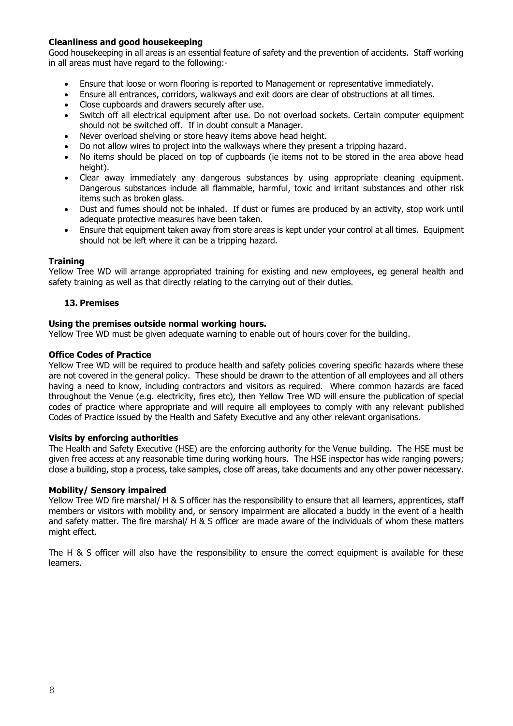#### **Cleanliness and good housekeeping**

Good housekeeping in all areas is an essential feature of safety and the prevention of accidents. Staff working in all areas must have regard to the following:-

- Ensure that loose or worn flooring is reported to Management or representative immediately.
- Ensure all entrances, corridors, walkways and exit doors are clear of obstructions at all times.
- Close cupboards and drawers securely after use.
- Switch off all electrical equipment after use. Do not overload sockets. Certain computer equipment should not be switched off. If in doubt consult a Manager.
- Never overload shelving or store heavy items above head height.
- Do not allow wires to project into the walkways where they present a tripping hazard.
- No items should be placed on top of cupboards (ie items not to be stored in the area above head height).
- Clear away immediately any dangerous substances by using appropriate cleaning equipment. Dangerous substances include all flammable, harmful, toxic and irritant substances and other risk items such as broken glass.
- Dust and fumes should not be inhaled. If dust or fumes are produced by an activity, stop work until adequate protective measures have been taken.
- Ensure that equipment taken away from store areas is kept under your control at all times. Equipment should not be left where it can be a tripping hazard.

#### **Training**

Yellow Tree WD will arrange appropriated training for existing and new employees, eg general health and safety training as well as that directly relating to the carrying out of their duties.

#### **13. Premises**

#### **Using the premises outside normal working hours.**

Yellow Tree WD must be given adequate warning to enable out of hours cover for the building.

#### **Office Codes of Practice**

Yellow Tree WD will be required to produce health and safety policies covering specific hazards where these are not covered in the general policy. These should be drawn to the attention of all employees and all others having a need to know, including contractors and visitors as required. Where common hazards are faced throughout the Venue (e.g. electricity, fires etc), then Yellow Tree WD will ensure the publication of special codes of practice where appropriate and will require all employees to comply with any relevant published Codes of Practice issued by the Health and Safety Executive and any other relevant organisations.

#### **Visits by enforcing authorities**

The Health and Safety Executive (HSE) are the enforcing authority for the Venue building. The HSE must be given free access at any reasonable time during working hours. The HSE inspector has wide ranging powers; close a building, stop a process, take samples, close off areas, take documents and any other power necessary.

#### **Mobility/ Sensory impaired**

Yellow Tree WD fire marshal/ H & S officer has the responsibility to ensure that all learners, apprentices, staff members or visitors with mobility and, or sensory impairment are allocated a buddy in the event of a health and safety matter. The fire marshal/ H & S officer are made aware of the individuals of whom these matters might effect.

The H & S officer will also have the responsibility to ensure the correct equipment is available for these learners.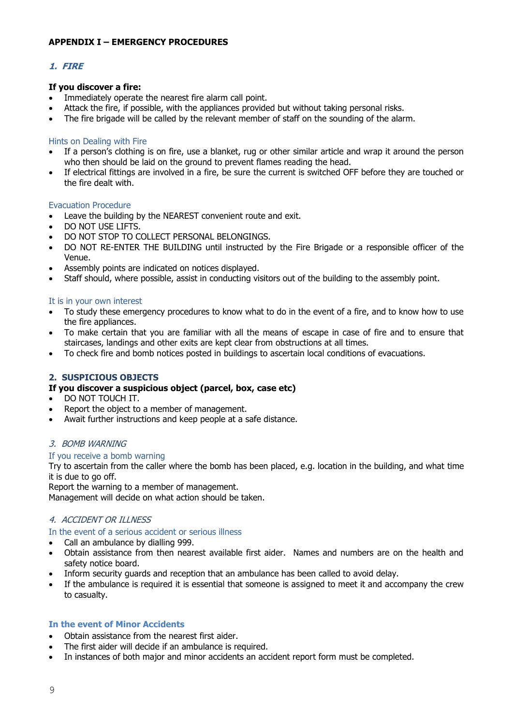## **APPENDIX I – EMERGENCY PROCEDURES**

## **1. FIRE**

#### **If you discover a fire:**

- Immediately operate the nearest fire alarm call point.
- Attack the fire, if possible, with the appliances provided but without taking personal risks.
- The fire brigade will be called by the relevant member of staff on the sounding of the alarm.

#### Hints on Dealing with Fire

- If a person's clothing is on fire, use a blanket, rug or other similar article and wrap it around the person who then should be laid on the ground to prevent flames reading the head.
- If electrical fittings are involved in a fire, be sure the current is switched OFF before they are touched or the fire dealt with.

#### Evacuation Procedure

- Leave the building by the NEAREST convenient route and exit.
- DO NOT USE LIFTS.
- DO NOT STOP TO COLLECT PERSONAL BELONGINGS.
- DO NOT RE-ENTER THE BUILDING until instructed by the Fire Brigade or a responsible officer of the Venue.
- Assembly points are indicated on notices displayed.
- Staff should, where possible, assist in conducting visitors out of the building to the assembly point.

#### It is in your own interest

- To study these emergency procedures to know what to do in the event of a fire, and to know how to use the fire appliances.
- To make certain that you are familiar with all the means of escape in case of fire and to ensure that staircases, landings and other exits are kept clear from obstructions at all times.
- To check fire and bomb notices posted in buildings to ascertain local conditions of evacuations.

#### **2. SUSPICIOUS OBJECTS**

#### **If you discover a suspicious object (parcel, box, case etc)**

- DO NOT TOUCH IT.
- Report the object to a member of management.
- Await further instructions and keep people at a safe distance.

#### 3. BOMB WARNING

#### If you receive a bomb warning

Try to ascertain from the caller where the bomb has been placed, e.g. location in the building, and what time it is due to go off.

Report the warning to a member of management. Management will decide on what action should be taken.

#### 4. ACCIDENT OR ILLNESS

In the event of a serious accident or serious illness

- Call an ambulance by dialling 999.
- Obtain assistance from then nearest available first aider. Names and numbers are on the health and safety notice board.
- Inform security guards and reception that an ambulance has been called to avoid delay.
- If the ambulance is required it is essential that someone is assigned to meet it and accompany the crew to casualty.

#### **In the event of Minor Accidents**

- Obtain assistance from the nearest first aider.
- The first aider will decide if an ambulance is required.
- In instances of both major and minor accidents an accident report form must be completed.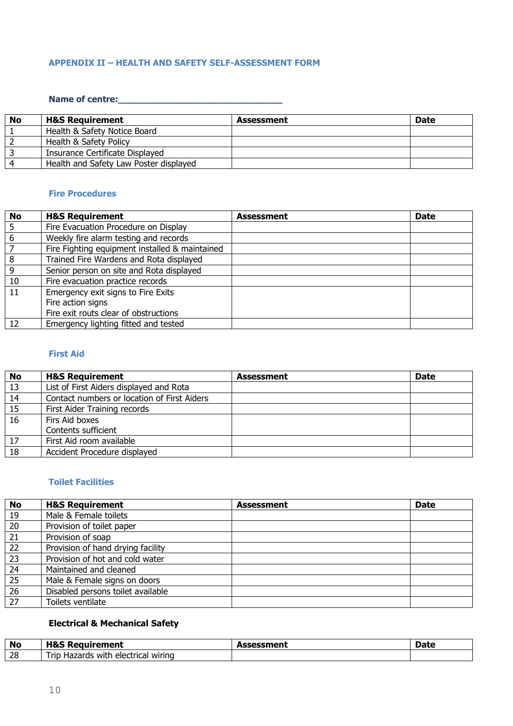## **APPENDIX II – HEALTH AND SAFETY SELF-ASSESSMENT FORM**

#### **Name of centre:\_\_\_\_\_\_\_\_\_\_\_\_\_\_\_\_\_\_\_\_\_\_\_\_\_\_\_\_\_\_**

| No | <b>H&amp;S Requirement</b>             | Assessment | <b>Date</b> |
|----|----------------------------------------|------------|-------------|
|    | Health & Safety Notice Board           |            |             |
|    | Health & Safety Policy                 |            |             |
|    | Insurance Certificate Displayed        |            |             |
|    | Health and Safety Law Poster displayed |            |             |

#### **Fire Procedures**

| <b>No</b> | <b>H&amp;S Requirement</b>                     | <b>Assessment</b> | <b>Date</b> |
|-----------|------------------------------------------------|-------------------|-------------|
|           | Fire Evacuation Procedure on Display           |                   |             |
| 6         | Weekly fire alarm testing and records          |                   |             |
|           | Fire Fighting equipment installed & maintained |                   |             |
| 8         | Trained Fire Wardens and Rota displayed        |                   |             |
| 9         | Senior person on site and Rota displayed       |                   |             |
| 10        | Fire evacuation practice records               |                   |             |
| 11        | Emergency exit signs to Fire Exits             |                   |             |
|           | Fire action signs                              |                   |             |
|           | Fire exit routs clear of obstructions          |                   |             |
| 12        | Emergency lighting fitted and tested           |                   |             |

#### **First Aid**

| No | <b>H&amp;S Requirement</b>                  | <b>Assessment</b> | <b>Date</b> |
|----|---------------------------------------------|-------------------|-------------|
| 13 | List of First Aiders displayed and Rota     |                   |             |
| 14 | Contact numbers or location of First Aiders |                   |             |
| 15 | First Aider Training records                |                   |             |
| 16 | Firs Aid boxes                              |                   |             |
|    | Contents sufficient                         |                   |             |
| 17 | First Aid room available                    |                   |             |
| 18 | Accident Procedure displayed                |                   |             |

## **Toilet Facilities**

| <b>No</b> | <b>H&amp;S Requirement</b>        | <b>Assessment</b> | <b>Date</b> |
|-----------|-----------------------------------|-------------------|-------------|
| 19        | Male & Female toilets             |                   |             |
| 20        | Provision of toilet paper         |                   |             |
| 21        | Provision of soap                 |                   |             |
| 22        | Provision of hand drying facility |                   |             |
| 23        | Provision of hot and cold water   |                   |             |
| 24        | Maintained and cleaned            |                   |             |
| 25        | Male & Female signs on doors      |                   |             |
| 26        | Disabled persons toilet available |                   |             |
| 27        | Toilets ventilate                 |                   |             |

## **Electrical & Mechanical Safety**

| <b>No</b> | $\blacksquare$<br>eauirement<br>лоэ<br>' RGUI                     | ---------<br>--CSSIIICIIL | <b>Date</b> |
|-----------|-------------------------------------------------------------------|---------------------------|-------------|
| 28        | wiring<br>, electriczi<br><b>ric</b><br>with<br>Hazards<br>$\sim$ |                           |             |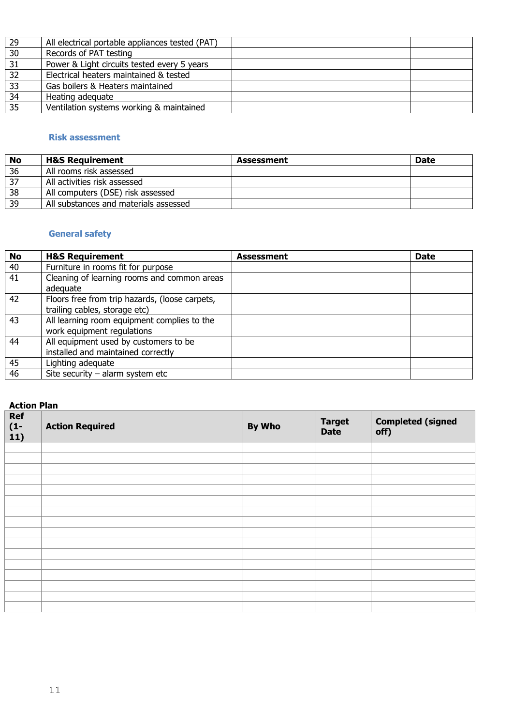| 29 | All electrical portable appliances tested (PAT) |  |
|----|-------------------------------------------------|--|
| 30 | Records of PAT testing                          |  |
| 31 | Power & Light circuits tested every 5 years     |  |
| 32 | Electrical heaters maintained & tested          |  |
| 33 | Gas boilers & Heaters maintained                |  |
| 34 | Heating adequate                                |  |
| 35 | Ventilation systems working & maintained        |  |

## **Risk assessment**

| No | <b>H&amp;S Requirement</b>            | Assessment | <b>Date</b> |
|----|---------------------------------------|------------|-------------|
| 36 | All rooms risk assessed               |            |             |
| 37 | All activities risk assessed          |            |             |
| 38 | All computers (DSE) risk assessed     |            |             |
| 39 | All substances and materials assessed |            |             |

## **General safety**

| <b>No</b> | <b>H&amp;S Requirement</b>                                                      | <b>Assessment</b> | <b>Date</b> |
|-----------|---------------------------------------------------------------------------------|-------------------|-------------|
| 40        | Furniture in rooms fit for purpose                                              |                   |             |
| 41        | Cleaning of learning rooms and common areas<br>adequate                         |                   |             |
| 42        | Floors free from trip hazards, (loose carpets,<br>trailing cables, storage etc) |                   |             |
| 43        | All learning room equipment complies to the<br>work equipment regulations       |                   |             |
| 44        | All equipment used by customers to be<br>installed and maintained correctly     |                   |             |
| 45        | Lighting adequate                                                               |                   |             |
| 46        | Site security $-$ alarm system etc                                              |                   |             |

## **Action Plan**

| <b>Ref</b><br>$\frac{(1-1)}{11}$ | <b>Action Required</b> | By Who | <b>Target</b><br><b>Date</b> | <b>Completed (signed</b><br>off) |
|----------------------------------|------------------------|--------|------------------------------|----------------------------------|
|                                  |                        |        |                              |                                  |
|                                  |                        |        |                              |                                  |
|                                  |                        |        |                              |                                  |
|                                  |                        |        |                              |                                  |
|                                  |                        |        |                              |                                  |
|                                  |                        |        |                              |                                  |
|                                  |                        |        |                              |                                  |
|                                  |                        |        |                              |                                  |
|                                  |                        |        |                              |                                  |
|                                  |                        |        |                              |                                  |
|                                  |                        |        |                              |                                  |
|                                  |                        |        |                              |                                  |
|                                  |                        |        |                              |                                  |
|                                  |                        |        |                              |                                  |
|                                  |                        |        |                              |                                  |
|                                  |                        |        |                              |                                  |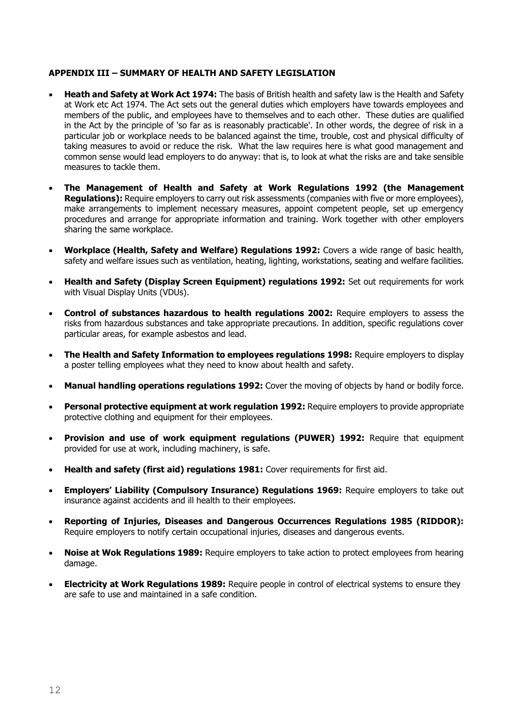#### **APPENDIX III – SUMMARY OF HEALTH AND SAFETY LEGISLATION**

- **Heath and Safety at Work Act 1974:** The basis of British health and safety law is the Health and Safety at Work etc Act 1974. The Act sets out the general duties which employers have towards employees and members of the public, and employees have to themselves and to each other. These duties are qualified in the Act by the principle of 'so far as is reasonably practicable'. In other words, the degree of risk in a particular job or workplace needs to be balanced against the time, trouble, cost and physical difficulty of taking measures to avoid or reduce the risk. What the law requires here is what good management and common sense would lead employers to do anyway: that is, to look at what the risks are and take sensible measures to tackle them.
- **The Management of Health and Safety at Work Regulations 1992 (the Management Regulations):** Require employers to carry out risk assessments (companies with five or more employees), make arrangements to implement necessary measures, appoint competent people, set up emergency procedures and arrange for appropriate information and training. Work together with other employers sharing the same workplace.
- **Workplace (Health, Safety and Welfare) Regulations 1992:** Covers a wide range of basic health, safety and welfare issues such as ventilation, heating, lighting, workstations, seating and welfare facilities.
- **Health and Safety (Display Screen Equipment) regulations 1992:** Set out requirements for work with Visual Display Units (VDUs).
- **Control of substances hazardous to health regulations 2002:** Require employers to assess the risks from hazardous substances and take appropriate precautions. In addition, specific regulations cover particular areas, for example asbestos and lead.
- **The Health and Safety Information to employees regulations 1998:** Require employers to display a poster telling employees what they need to know about health and safety.
- **Manual handling operations regulations 1992:** Cover the moving of objects by hand or bodily force.
- **Personal protective equipment at work regulation 1992:** Require employers to provide appropriate protective clothing and equipment for their employees.
- **Provision and use of work equipment regulations (PUWER) 1992:** Require that equipment provided for use at work, including machinery, is safe.
- **Health and safety (first aid) regulations 1981:** Cover requirements for first aid.
- **Employers' Liability (Compulsory Insurance) Regulations 1969:** Require employers to take out insurance against accidents and ill health to their employees.
- **Reporting of Injuries, Diseases and Dangerous Occurrences Regulations 1985 (RIDDOR):**  Require employers to notify certain occupational injuries, diseases and dangerous events.
- **Noise at Wok Regulations 1989:** Require employers to take action to protect employees from hearing damage.
- **Electricity at Work Regulations 1989:** Require people in control of electrical systems to ensure they are safe to use and maintained in a safe condition.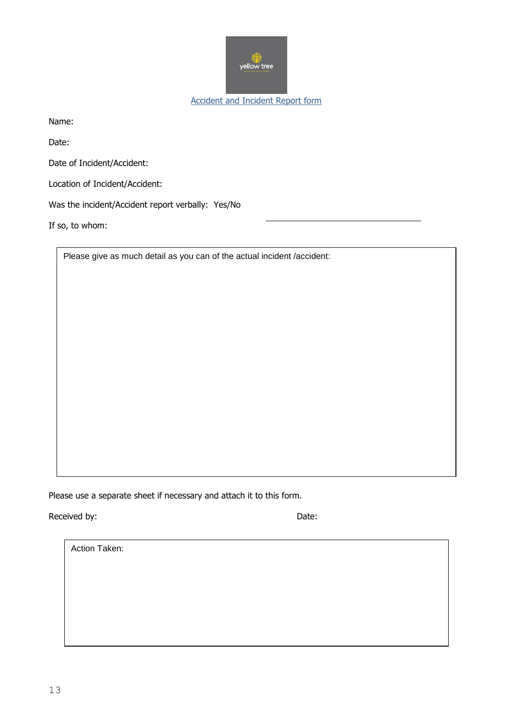

Accident and Incident Report form

Name:

Date:

Date of Incident/Accident:

Location of Incident/Accident:

Was the incident/Accident report verbally: Yes/No

If so, to whom:

Please give as much detail as you can of the actual incident /accident:

Please use a separate sheet if necessary and attach it to this form.

Received by: Date:

Action Taken: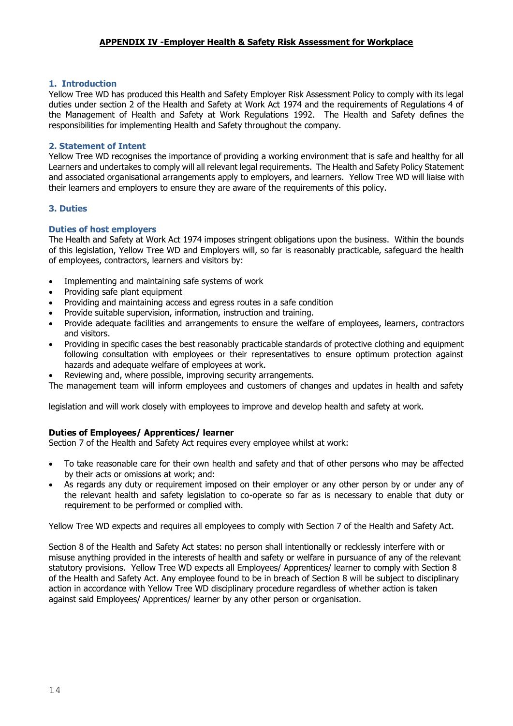#### **APPENDIX IV -Employer Health & Safety Risk Assessment for Workplace**

#### **1. Introduction**

Yellow Tree WD has produced this Health and Safety Employer Risk Assessment Policy to comply with its legal duties under section 2 of the Health and Safety at Work Act 1974 and the requirements of Regulations 4 of the Management of Health and Safety at Work Regulations 1992. The Health and Safety defines the responsibilities for implementing Health and Safety throughout the company.

#### **2. Statement of Intent**

Yellow Tree WD recognises the importance of providing a working environment that is safe and healthy for all Learners and undertakes to comply will all relevant legal requirements. The Health and Safety Policy Statement and associated organisational arrangements apply to employers, and learners. Yellow Tree WD will liaise with their learners and employers to ensure they are aware of the requirements of this policy.

#### **3. Duties**

#### **Duties of host employers**

The Health and Safety at Work Act 1974 imposes stringent obligations upon the business. Within the bounds of this legislation, Yellow Tree WD and Employers will, so far is reasonably practicable, safeguard the health of employees, contractors, learners and visitors by:

- Implementing and maintaining safe systems of work
- Providing safe plant equipment
- Providing and maintaining access and egress routes in a safe condition
- Provide suitable supervision, information, instruction and training.
- Provide adequate facilities and arrangements to ensure the welfare of employees, learners, contractors and visitors.
- Providing in specific cases the best reasonably practicable standards of protective clothing and equipment following consultation with employees or their representatives to ensure optimum protection against hazards and adequate welfare of employees at work.
- Reviewing and, where possible, improving security arrangements.

The management team will inform employees and customers of changes and updates in health and safety

legislation and will work closely with employees to improve and develop health and safety at work.

#### **Duties of Employees/ Apprentices/ learner**

Section 7 of the Health and Safety Act requires every employee whilst at work:

- To take reasonable care for their own health and safety and that of other persons who may be affected by their acts or omissions at work; and:
- As regards any duty or requirement imposed on their employer or any other person by or under any of the relevant health and safety legislation to co-operate so far as is necessary to enable that duty or requirement to be performed or complied with.

Yellow Tree WD expects and requires all employees to comply with Section 7 of the Health and Safety Act.

Section 8 of the Health and Safety Act states: no person shall intentionally or recklessly interfere with or misuse anything provided in the interests of health and safety or welfare in pursuance of any of the relevant statutory provisions. Yellow Tree WD expects all Employees/ Apprentices/ learner to comply with Section 8 of the Health and Safety Act. Any employee found to be in breach of Section 8 will be subject to disciplinary action in accordance with Yellow Tree WD disciplinary procedure regardless of whether action is taken against said Employees/ Apprentices/ learner by any other person or organisation.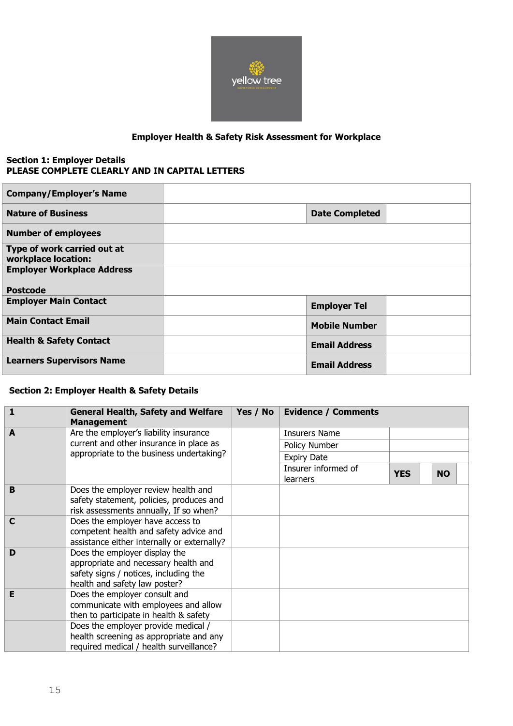

## **Employer Health & Safety Risk Assessment for Workplace**

#### **Section 1: Employer Details PLEASE COMPLETE CLEARLY AND IN CAPITAL LETTERS**

| <b>Company/Employer's Name</b>                     |                       |  |
|----------------------------------------------------|-----------------------|--|
| <b>Nature of Business</b>                          | <b>Date Completed</b> |  |
| <b>Number of employees</b>                         |                       |  |
| Type of work carried out at<br>workplace location: |                       |  |
| <b>Employer Workplace Address</b>                  |                       |  |
| <b>Postcode</b>                                    |                       |  |
| <b>Employer Main Contact</b>                       | <b>Employer Tel</b>   |  |
| <b>Main Contact Email</b>                          | <b>Mobile Number</b>  |  |
| <b>Health &amp; Safety Contact</b>                 | <b>Email Address</b>  |  |
| <b>Learners Supervisors Name</b>                   | <b>Email Address</b>  |  |

#### **Section 2: Employer Health & Safety Details**

| $\mathbf{1}$ | <b>General Health, Safety and Welfare</b><br><b>Management</b>                 | Yes / No | <b>Evidence / Comments</b> |            |           |
|--------------|--------------------------------------------------------------------------------|----------|----------------------------|------------|-----------|
| A            | Are the employer's liability insurance                                         |          | <b>Insurers Name</b>       |            |           |
|              | current and other insurance in place as                                        |          | Policy Number              |            |           |
|              | appropriate to the business undertaking?                                       |          | <b>Expiry Date</b>         |            |           |
|              |                                                                                |          | Insurer informed of        | <b>YES</b> | <b>NO</b> |
|              |                                                                                |          | learners                   |            |           |
| B            | Does the employer review health and                                            |          |                            |            |           |
|              | safety statement, policies, produces and                                       |          |                            |            |           |
| $\mathbf C$  | risk assessments annually, If so when?<br>Does the employer have access to     |          |                            |            |           |
|              | competent health and safety advice and                                         |          |                            |            |           |
|              | assistance either internally or externally?                                    |          |                            |            |           |
| D            | Does the employer display the                                                  |          |                            |            |           |
|              | appropriate and necessary health and                                           |          |                            |            |           |
|              | safety signs / notices, including the                                          |          |                            |            |           |
|              | health and safety law poster?                                                  |          |                            |            |           |
| E            | Does the employer consult and                                                  |          |                            |            |           |
|              | communicate with employees and allow<br>then to participate in health & safety |          |                            |            |           |
|              | Does the employer provide medical /                                            |          |                            |            |           |
|              | health screening as appropriate and any                                        |          |                            |            |           |
|              | required medical / health surveillance?                                        |          |                            |            |           |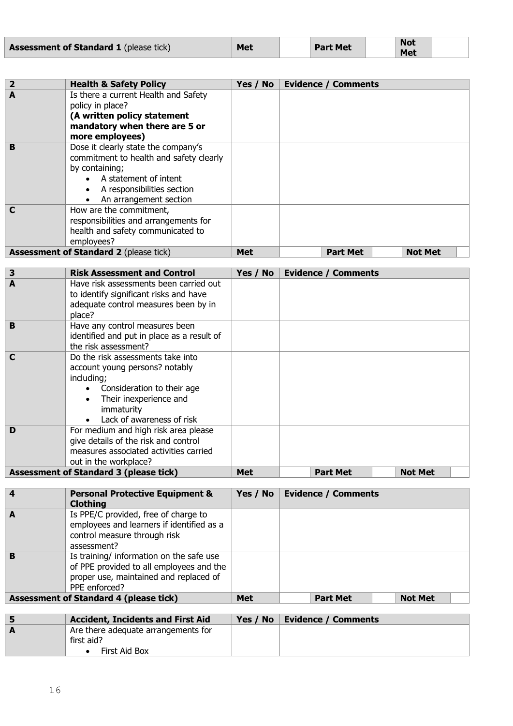| <b>Assessment of Standard 1</b> (please tick) | Met | <b>Part Met</b> | <b>Not</b><br><b>Met</b> |  |
|-----------------------------------------------|-----|-----------------|--------------------------|--|
|-----------------------------------------------|-----|-----------------|--------------------------|--|

| $\overline{2}$ | <b>Health &amp; Safety Policy</b>                                                                                                                                                 | Yes / No   | <b>Evidence / Comments</b> |                |
|----------------|-----------------------------------------------------------------------------------------------------------------------------------------------------------------------------------|------------|----------------------------|----------------|
| A              | Is there a current Health and Safety<br>policy in place?<br>(A written policy statement<br>mandatory when there are 5 or<br>more employees)                                       |            |                            |                |
| B              | Dose it clearly state the company's<br>commitment to health and safety clearly<br>by containing;<br>A statement of intent<br>A responsibilities section<br>An arrangement section |            |                            |                |
|                | How are the commitment,<br>responsibilities and arrangements for<br>health and safety communicated to<br>employees?                                                               |            |                            |                |
|                | <b>Assessment of Standard 2 (please tick)</b>                                                                                                                                     | <b>Met</b> | <b>Part Met</b>            | <b>Not Met</b> |

| 3 | <b>Risk Assessment and Control</b>                                                                                                                                                   | Yes / No   | <b>Evidence / Comments</b> |                |
|---|--------------------------------------------------------------------------------------------------------------------------------------------------------------------------------------|------------|----------------------------|----------------|
| A | Have risk assessments been carried out<br>to identify significant risks and have<br>adequate control measures been by in<br>place?                                                   |            |                            |                |
| B | Have any control measures been<br>identified and put in place as a result of<br>the risk assessment?                                                                                 |            |                            |                |
| C | Do the risk assessments take into<br>account young persons? notably<br>including;<br>Consideration to their age<br>Their inexperience and<br>immaturity<br>Lack of awareness of risk |            |                            |                |
| D | For medium and high risk area please<br>give details of the risk and control<br>measures associated activities carried<br>out in the workplace?                                      |            |                            |                |
|   | <b>Assessment of Standard 3 (please tick)</b>                                                                                                                                        | <b>Met</b> | <b>Part Met</b>            | <b>Not Met</b> |

| $\overline{4}$ | <b>Personal Protective Equipment &amp;</b><br><b>Clothing</b>                                                                                   | Yes / No   | <b>Evidence / Comments</b> |                |
|----------------|-------------------------------------------------------------------------------------------------------------------------------------------------|------------|----------------------------|----------------|
| A              | Is PPE/C provided, free of charge to<br>employees and learners if identified as a<br>control measure through risk<br>assessment?                |            |                            |                |
| B              | Is training/ information on the safe use<br>of PPE provided to all employees and the<br>proper use, maintained and replaced of<br>PPE enforced? |            |                            |                |
|                | <b>Assessment of Standard 4 (please tick)</b>                                                                                                   | <b>Met</b> | <b>Part Met</b>            | <b>Not Met</b> |

| <b>Accident, Incidents and First Aid</b>                           | Yes / No $\parallel$ | <b>Evidence / Comments</b> |
|--------------------------------------------------------------------|----------------------|----------------------------|
| Are there adequate arrangements for<br>first aid?<br>First Aid Box |                      |                            |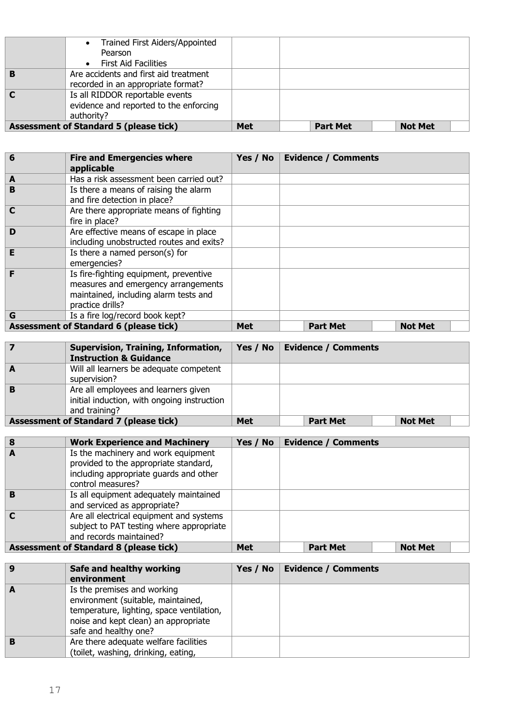|   | • Trained First Aiders/Appointed<br>Pearson<br><b>First Aid Facilities</b><br>$\bullet$ |            |                 |                |  |
|---|-----------------------------------------------------------------------------------------|------------|-----------------|----------------|--|
|   | Are accidents and first aid treatment<br>recorded in an appropriate format?             |            |                 |                |  |
| C | Is all RIDDOR reportable events<br>evidence and reported to the enforcing<br>authority? |            |                 |                |  |
|   | <b>Assessment of Standard 5 (please tick)</b>                                           | <b>Met</b> | <b>Part Met</b> | <b>Not Met</b> |  |

| 6 | <b>Fire and Emergencies where</b><br>applicable                                                                                            | Yes / No   | <b>Evidence / Comments</b> |                |
|---|--------------------------------------------------------------------------------------------------------------------------------------------|------------|----------------------------|----------------|
| A | Has a risk assessment been carried out?                                                                                                    |            |                            |                |
| B | Is there a means of raising the alarm<br>and fire detection in place?                                                                      |            |                            |                |
| C | Are there appropriate means of fighting<br>fire in place?                                                                                  |            |                            |                |
| D | Are effective means of escape in place<br>including unobstructed routes and exits?                                                         |            |                            |                |
| E | Is there a named person(s) for<br>emergencies?                                                                                             |            |                            |                |
|   | Is fire-fighting equipment, preventive<br>measures and emergency arrangements<br>maintained, including alarm tests and<br>practice drills? |            |                            |                |
| G | Is a fire log/record book kept?                                                                                                            |            |                            |                |
|   | <b>Assessment of Standard 6 (please tick)</b>                                                                                              | <b>Met</b> | <b>Part Met</b>            | <b>Not Met</b> |

|   | Supervision, Training, Information,<br><b>Instruction &amp; Guidance</b>                             | Yes / No $ $ | <b>Evidence / Comments</b> |                |  |
|---|------------------------------------------------------------------------------------------------------|--------------|----------------------------|----------------|--|
| A | Will all learners be adequate competent<br>supervision?                                              |              |                            |                |  |
| B | Are all employees and learners given<br>initial induction, with ongoing instruction<br>and training? |              |                            |                |  |
|   | <b>Assessment of Standard 7 (please tick)</b>                                                        | Met          | <b>Part Met</b>            | <b>Not Met</b> |  |

| 8 | <b>Work Experience and Machinery</b>                                                                                                        | Yes / No | <b>Evidence / Comments</b> |                |  |
|---|---------------------------------------------------------------------------------------------------------------------------------------------|----------|----------------------------|----------------|--|
| A | Is the machinery and work equipment<br>provided to the appropriate standard,<br>including appropriate guards and other<br>control measures? |          |                            |                |  |
| B | Is all equipment adequately maintained<br>and serviced as appropriate?                                                                      |          |                            |                |  |
|   | Are all electrical equipment and systems<br>subject to PAT testing where appropriate<br>and records maintained?                             |          |                            |                |  |
|   | <b>Assessment of Standard 8 (please tick)</b>                                                                                               | Met      | <b>Part Met</b>            | <b>Not Met</b> |  |

| 9 | Safe and healthy working<br>environment                                                                                                                                         | Yes / No   Evidence / Comments |
|---|---------------------------------------------------------------------------------------------------------------------------------------------------------------------------------|--------------------------------|
|   | Is the premises and working<br>environment (suitable, maintained,<br>temperature, lighting, space ventilation,<br>noise and kept clean) an appropriate<br>safe and healthy one? |                                |
|   | Are there adequate welfare facilities<br>(toilet, washing, drinking, eating,                                                                                                    |                                |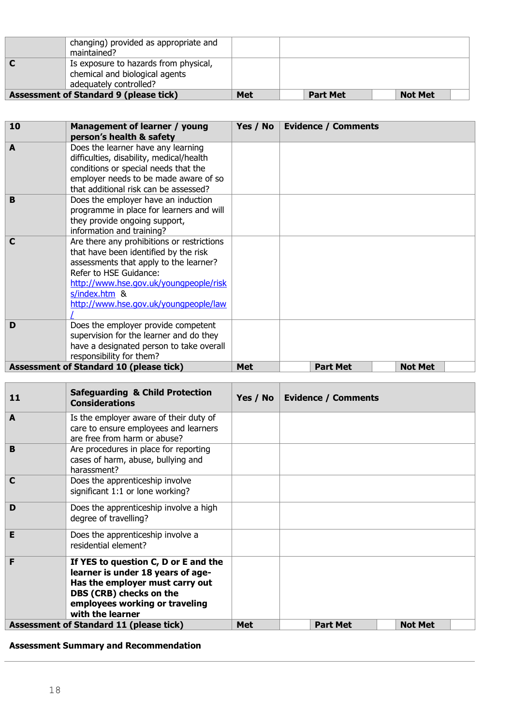| changing) provided as appropriate and<br>maintained?                                              |            |                 |                |
|---------------------------------------------------------------------------------------------------|------------|-----------------|----------------|
| Is exposure to hazards from physical,<br>chemical and biological agents<br>adequately controlled? |            |                 |                |
| <b>Assessment of Standard 9 (please tick)</b>                                                     | <b>Met</b> | <b>Part Met</b> | <b>Not Met</b> |

| 10          | Management of learner / young<br>person's health & safety                                                                                                                                                                                                   | Yes / No   | <b>Evidence / Comments</b> |                |
|-------------|-------------------------------------------------------------------------------------------------------------------------------------------------------------------------------------------------------------------------------------------------------------|------------|----------------------------|----------------|
| A           | Does the learner have any learning<br>difficulties, disability, medical/health<br>conditions or special needs that the<br>employer needs to be made aware of so<br>that additional risk can be assessed?                                                    |            |                            |                |
| B           | Does the employer have an induction<br>programme in place for learners and will<br>they provide ongoing support,<br>information and training?                                                                                                               |            |                            |                |
| $\mathbf C$ | Are there any prohibitions or restrictions<br>that have been identified by the risk<br>assessments that apply to the learner?<br>Refer to HSE Guidance:<br>http://www.hse.gov.uk/youngpeople/risk<br>s/index.htm &<br>http://www.hse.gov.uk/youngpeople/law |            |                            |                |
| D           | Does the employer provide competent<br>supervision for the learner and do they<br>have a designated person to take overall<br>responsibility for them?                                                                                                      |            |                            |                |
|             | <b>Assessment of Standard 10 (please tick)</b>                                                                                                                                                                                                              | <b>Met</b> | <b>Part Met</b>            | <b>Not Met</b> |

| 11 | <b>Safeguarding &amp; Child Protection</b><br><b>Considerations</b>                                                                                                                           | Yes / No   | <b>Evidence / Comments</b> |                |  |
|----|-----------------------------------------------------------------------------------------------------------------------------------------------------------------------------------------------|------------|----------------------------|----------------|--|
| A  | Is the employer aware of their duty of<br>care to ensure employees and learners<br>are free from harm or abuse?                                                                               |            |                            |                |  |
| B  | Are procedures in place for reporting<br>cases of harm, abuse, bullying and<br>harassment?                                                                                                    |            |                            |                |  |
| C  | Does the apprenticeship involve<br>significant 1:1 or lone working?                                                                                                                           |            |                            |                |  |
| D  | Does the apprenticeship involve a high<br>degree of travelling?                                                                                                                               |            |                            |                |  |
| E  | Does the apprenticeship involve a<br>residential element?                                                                                                                                     |            |                            |                |  |
| F  | If YES to question C, D or E and the<br>learner is under 18 years of age-<br>Has the employer must carry out<br>DBS (CRB) checks on the<br>employees working or traveling<br>with the learner |            |                            |                |  |
|    | <b>Assessment of Standard 11 (please tick)</b>                                                                                                                                                | <b>Met</b> | <b>Part Met</b>            | <b>Not Met</b> |  |

# **Assessment Summary and Recommendation**